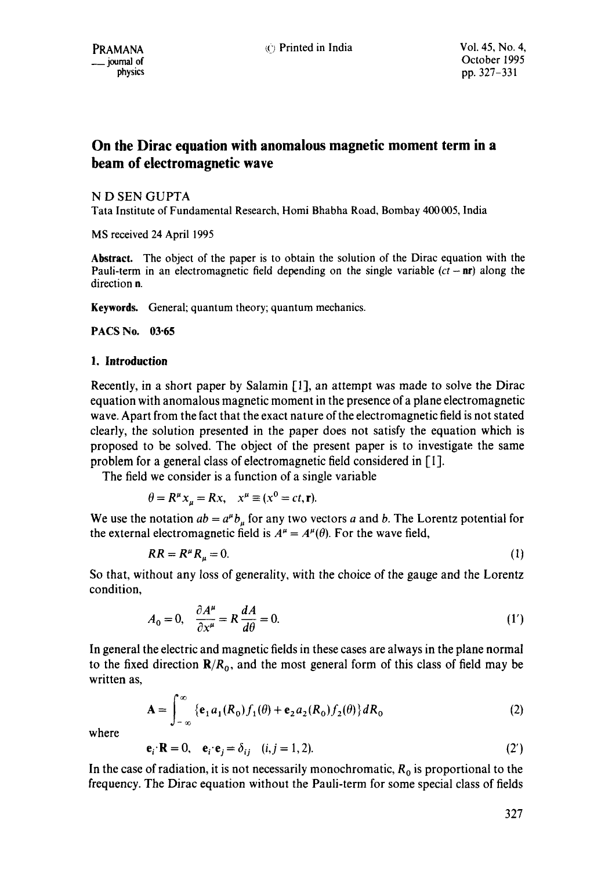# **On the Dirac equation with anomalous magnetic moment term in a beam of electromagnetic wave**

N D SEN GUPTA

Tata Institute of Fundamental Research, Homi Bhabha Road, Bombay 400005, India

MS received 24 April 1995

**Abstract.** The object of the paper is to obtain the solution of the Dirac equation with the Pauli-term in an electromagnetic field depending on the single variable *(ct-* nr) along the direction n.

Keywords. General; quantum theory; quantum mechanics.

**PACS No. 03"65** 

# **1. Introduction**

Recently, in a short paper by Salamin [1], an attempt was made to solve the Dirac equation with anomalous magnetic moment in the presence of a plane electromagnetic wave. Apart from the fact that the exact nature of the electromagnetic field is not stated clearly, the solution presented in the paper does not satisfy the equation which is proposed to be solved. The object of the present paper is to investigate the same problem for a general class of electromagnetic field considered in [I].

The field we consider is a function of a single variable

$$
\theta = R^{\mu} x_{\mu} = R x, \quad x^{\mu} \equiv (x^0 = ct, \mathbf{r}).
$$

We use the notation  $ab = a^{\mu}b_{\mu}$  for any two vectors a and b. The Lorentz potential for the external electromagnetic field is  $A^{\mu} = A^{\mu}(\theta)$ . For the wave field,

$$
RR = R^{\mu}R_{\mu} = 0. \tag{1}
$$

So that, without any loss of generality, with the choice of the gauge and the Lorentz condition,

$$
A_0 = 0, \quad \frac{\partial A^{\mu}}{\partial x^{\mu}} = R \frac{dA}{d\theta} = 0. \tag{1'}
$$

In general the electric and magnetic fields in these cases are always in the plane normal to the fixed direction  $\mathbf{R}/R_0$ , and the most general form of this class of field may be written as,

$$
\mathbf{A} = \int_{-\infty}^{\infty} \left\{ \mathbf{e}_1 a_1(R_0) f_1(\theta) + \mathbf{e}_2 a_2(R_0) f_2(\theta) \right\} dR_0 \tag{2}
$$

where

 $e_i \cdot R = 0, \quad e_i \cdot e_j = \delta_{ij} \quad (i, j = 1, 2).$  (2')

In the case of radiation, it is not necessarily monochromatic,  $R_0$  is proportional to the frequency. The Dirac equation without the Pauli-term for some special class of fields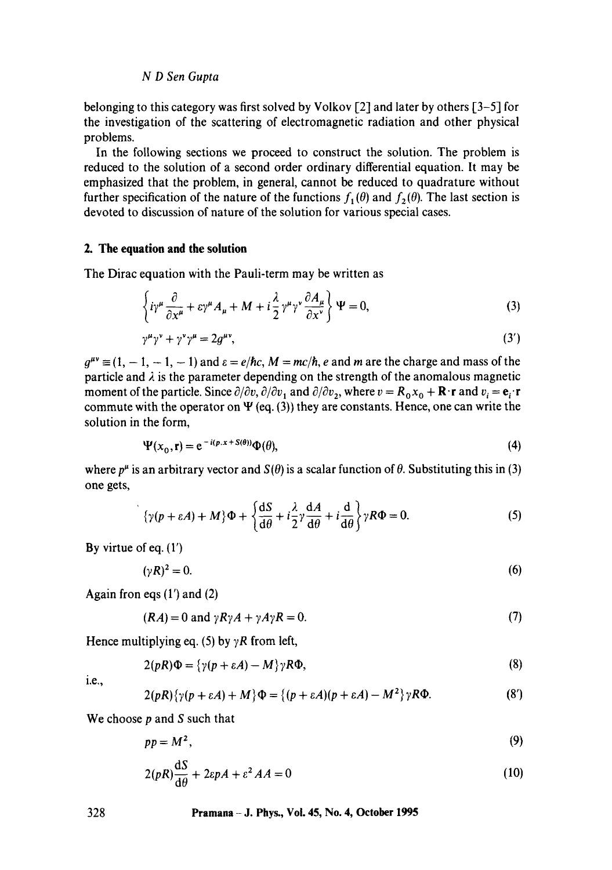# *N D Sen Gupta*

belonging to this category was first solved by Volkov [2] and later by others [3-5] for the investigation of the scattering of electromagnetic radiation and other physical problems.

In the following sections we proceed to construct the solution. The problem is reduced to the solution of a second order ordinary differential equation. It may be emphasized that the problem, in general, cannot be reduced to quadrature without further specification of the nature of the functions  $f_1(\theta)$  and  $f_2(\theta)$ . The last section is devoted to discussion of nature of the solution for various special cases.

# **2. The equation and the solution**

The Dirac equation with the Pauli-term may be written as

$$
\left\{ i\gamma^{\mu}\frac{\partial}{\partial x^{\mu}} + \varepsilon\gamma^{\mu}A_{\mu} + M + i\frac{\lambda}{2}\gamma^{\mu}\gamma^{\nu}\frac{\partial A_{\mu}}{\partial x^{\nu}} \right\} \Psi = 0, \tag{3}
$$

$$
\gamma^{\mu}\gamma^{\nu} + \gamma^{\nu}\gamma^{\mu} = 2g^{\mu\nu},\tag{3'}
$$

 $q^{\mu\nu} \equiv (1, -1, -1, -1)$  and  $\varepsilon = e/\hbar c$ ,  $M = mc/\hbar$ , e and m are the charge and mass of the particle and  $\lambda$  is the parameter depending on the strength of the anomalous magnetic moment of the particle. Since  $\partial/\partial v$ ,  $\partial/\partial v_1$  and  $\partial/\partial v_2$ , where  $v = R_0x_0 + \mathbf{R} \cdot \mathbf{r}$  and  $v_i = \mathbf{e}_i \cdot \mathbf{r}$ commute with the operator on  $\Psi$  (eq. (3)) they are constants. Hence, one can write the solution in the form,

$$
\Psi(x_0, \mathbf{r}) = e^{-i(p.x + S(\theta))} \Phi(\theta),\tag{4}
$$

where  $p^{\mu}$  is an arbitrary vector and  $S(\theta)$  is a scalar function of  $\theta$ . Substituting this in (3) one gets,

$$
\{\gamma(p+\varepsilon A) + M\}\Phi + \left\{\frac{\mathrm{d}S}{\mathrm{d}\theta} + i\frac{\lambda}{2}\gamma\frac{\mathrm{d}A}{\mathrm{d}\theta} + i\frac{\mathrm{d}}{\mathrm{d}\theta}\right\}\gamma R\Phi = 0. \tag{5}
$$

By virtue of eq. (1')

$$
(\gamma R)^2 = 0. \tag{6}
$$

Again fron eqs  $(1')$  and  $(2)$ 

 $(RA) = 0$  and  $\gamma R \gamma A + \gamma A \gamma R = 0.$  (7)

Hence multiplying eq. (5) by  $\gamma R$  from left,

$$
2(pR)\Phi = {\gamma(p + \varepsilon A) - M}\gamma R\Phi, \qquad (8)
$$

i.e.,

$$
2(pR)\{\gamma(p+\varepsilon A)+M\}\Phi=\{(p+\varepsilon A)(p+\varepsilon A)-M^2\}\gamma R\Phi.
$$
 (8')

We choose  $p$  and  $S$  such that

$$
pp = M^2, \tag{9}
$$

$$
2(pR)\frac{\mathrm{d}S}{\mathrm{d}\theta} + 2\epsilon pA + \epsilon^2 AA = 0\tag{10}
$$

#### **328 Pramana - J. Phys., Vol. 45, No. 4, October 1995**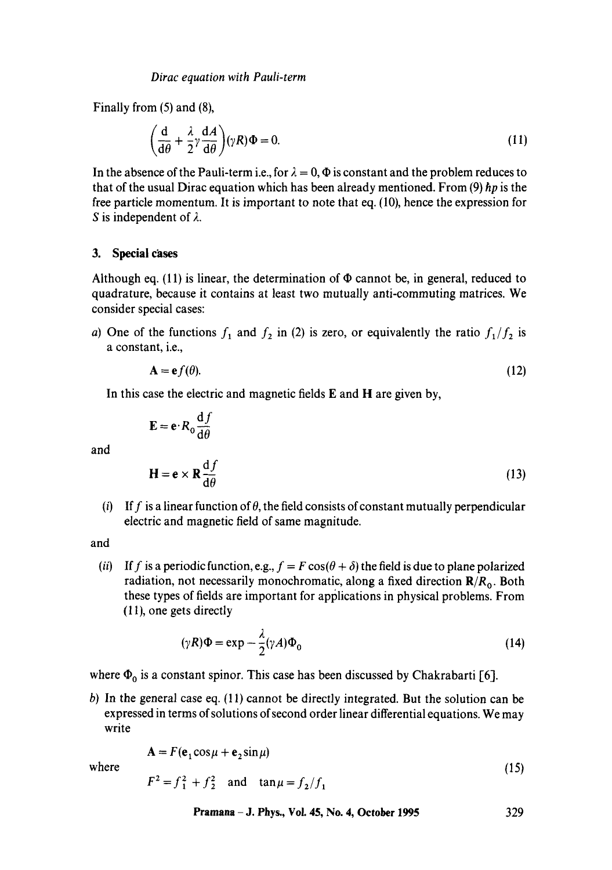Finally from (5) and (8),

$$
\left(\frac{\mathrm{d}}{\mathrm{d}\theta} + \frac{\lambda}{2}\gamma \frac{\mathrm{d}A}{\mathrm{d}\theta}\right)(\gamma R)\Phi = 0.
$$
\n(11)

In the absence of the Pauli-term i.e., for  $\lambda = 0$ ,  $\Phi$  is constant and the problem reduces to that of the usual Dirac equation which has been already mentioned. From (9) *hp* is the free particle momentum. It is important to note that eq. (10), hence the expression for S is independent of  $\lambda$ .

### **3. Special cases**

Although eq. (11) is linear, the determination of  $\Phi$  cannot be, in general, reduced to quadrature, because it contains at least two mutually anti-commuting matrices. We consider special cases:

a) One of the functions  $f_1$  and  $f_2$  in (2) is zero, or equivalently the ratio  $f_1/f_2$  is a constant, i.e.,

$$
\mathbf{A} = \mathbf{e}f(\theta). \tag{12}
$$

In this case the electric and magnetic fields E and H are given by,

$$
\mathbf{E} = \mathbf{e} \cdot R_0 \frac{\mathrm{d}f}{\mathrm{d}\theta}
$$
  

$$
\mathbf{H} = \mathbf{e} \times \mathbf{R} \frac{\mathrm{d}f}{\mathrm{d}\theta}
$$
 (13)

(i) If f is a linear function of  $\theta$ , the field consists of constant mutually perpendicular electric and magnetic field of same magnitude.

and

and

*(ii)* If f is a periodic function, e.g.,  $f = F \cos(\theta + \delta)$  the field is due to plane polarized radiation, not necessarily monochromatic, along a fixed direction *R/R o.* Both these types of fields are important for applications in physical problems. From (11), one gets directly

$$
(\gamma R)\Phi = \exp -\frac{\lambda}{2}(\gamma A)\Phi_0
$$
 (14)

where  $\Phi_0$  is a constant spinor. This case has been discussed by Chakrabarti [6].

b) In the general case eq. (11) cannot be directly integrated. But the solution can be expressed in terms of solutions of second order linear differential equations. We may write

$$
\mathbf{A} = F(\mathbf{e}_1 \cos \mu + \mathbf{e}_2 \sin \mu)
$$
 where (15)

$$
F^2 = f_1^2 + f_2^2
$$
 and  $\tan \mu = f_2/f_1$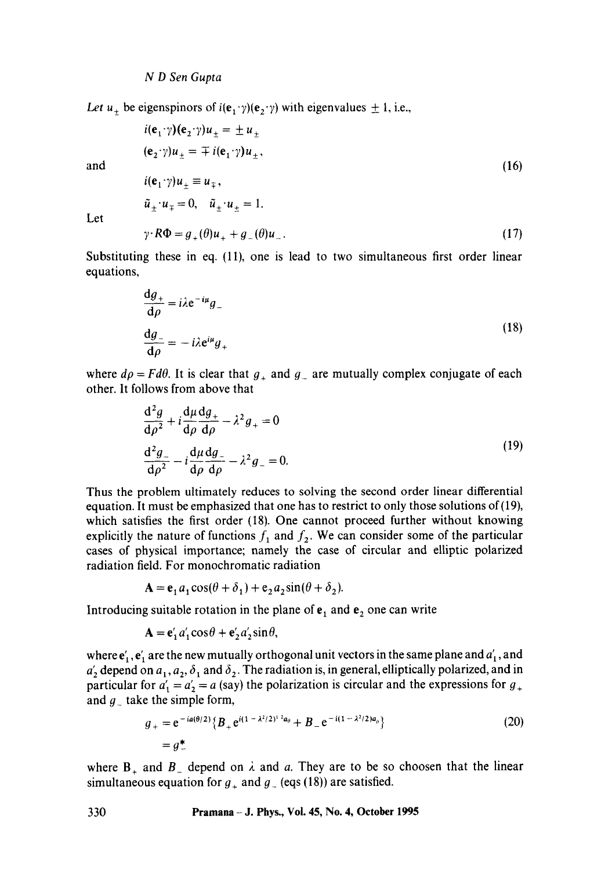Let  $u_+$  be eigenspinors of  $i(e_1 \gamma)(e_2 \gamma)$  with eigenvalues  $\pm 1$ , i.e.,

$$
i(\mathbf{e}_1 \cdot \gamma)(\mathbf{e}_2 \cdot \gamma)u_{\pm} = \pm u_{\pm}
$$
\n
$$
(\mathbf{e}_2 \cdot \gamma)u_{\pm} = \mp i(\mathbf{e}_1 \cdot \gamma)u_{\pm},
$$
\nand\n
$$
i(\mathbf{e}_1 \cdot \gamma)u_{\pm} \equiv u_{\mp},
$$
\n
$$
\tilde{u}_{\pm} \cdot u_{\mp} = 0, \quad \tilde{u}_{\pm} \cdot u_{\pm} = 1.
$$
\nLet

Let

 $\gamma \cdot R\Phi = g_+(\theta)u_+ + g_-(\theta)u_-.$  (17)

Substituting these in eq. (11), one is lead to two simultaneous first order linear equations,

$$
\frac{dg_+}{d\rho} = i\lambda e^{-i\mu}g_-
$$
  

$$
\frac{dg_-}{d\rho} = -i\lambda e^{i\mu}g_+
$$
 (18)

where  $d\rho = F d\theta$ . It is clear that  $g_+$  and  $g_-$  are mutually complex conjugate of each other. It follows from above that

$$
\frac{d^2g}{d\rho^2} + i \frac{d\mu}{d\rho} \frac{dg_+}{d\rho} - \lambda^2 g_+ = 0
$$
  

$$
\frac{d^2g_-}{d\rho^2} - i \frac{d\mu}{d\rho} \frac{dg_-}{d\rho} - \lambda^2 g_- = 0.
$$
 (19)

Thus the problem ultimately reduces to solving the second order linear differential equation. It must be emphasized that one has to restrict to only those solutions of(19), which satisfies the first order (18). One cannot proceed further without knowing explicitly the nature of functions  $f_1$  and  $f_2$ . We can consider some of the particular cases of physical importance; namely the case of circular and elliptic polarized radiation field. For monochromatic radiation

$$
\mathbf{A} = \mathbf{e}_1 a_1 \cos(\theta + \delta_1) + \mathbf{e}_2 a_2 \sin(\theta + \delta_2).
$$

Introducing suitable rotation in the plane of  $e_1$  and  $e_2$  one can write

$$
\mathbf{A} = \mathbf{e}'_1 a'_1 \cos \theta + \mathbf{e}'_2 a'_2 \sin \theta,
$$

where  $e'_{1}$ ,  $e'_{1}$  are the new mutually orthogonal unit vectors in the same plane and  $a'_{1}$ , and  $a'_2$  depend on  $a_1, a_2, \delta_1$  and  $\delta_2$ . The radiation is, in general, elliptically polarized, and in particular for  $a'_1 = a'_2 = a$  (say) the polarization is circular and the expressions for  $g_+$ and  $g_{-}$  take the simple form,

$$
g_{+} = e^{-ia(\theta/2)} \{ B_{+} e^{i(1 - \lambda^{2}/2)^{1/2} a_{\theta}} + B_{-} e^{-i(1 - \lambda^{2}/2) a_{\theta}} \}
$$
(20)  

$$
= g_{+}^{*}
$$

where  $B_+$  and  $B_-$  depend on  $\lambda$  and a. They are to be so choosen that the linear simultaneous equation for  $g_+$  and  $g_-$  (eqs (18)) are satisfied.